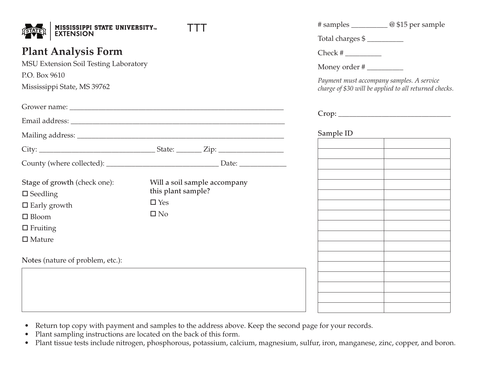| <b>MISSISSIPPI STATE UNIVERSITYTM</b>                                                                               |                              | # samples ____________@ \$15 per sample                                                                                         |  |  |           |
|---------------------------------------------------------------------------------------------------------------------|------------------------------|---------------------------------------------------------------------------------------------------------------------------------|--|--|-----------|
| <b>EXTENSION</b>                                                                                                    |                              | Total charges \$                                                                                                                |  |  |           |
| <b>Plant Analysis Form</b><br>MSU Extension Soil Testing Laboratory<br>P.O. Box 9610<br>Mississippi State, MS 39762 |                              | Check #<br>Money order #<br>Payment must accompany samples. A service<br>charge of \$30 will be applied to all returned checks. |  |  |           |
|                                                                                                                     |                              |                                                                                                                                 |  |  |           |
|                                                                                                                     |                              |                                                                                                                                 |  |  |           |
|                                                                                                                     |                              |                                                                                                                                 |  |  | Sample ID |
|                                                                                                                     |                              |                                                                                                                                 |  |  |           |
|                                                                                                                     |                              | <u> 1989 - Johann Barbara, martxa al III-lea (h. 1974).</u>                                                                     |  |  |           |
| Stage of growth (check one):                                                                                        | Will a soil sample accompany |                                                                                                                                 |  |  |           |
| $\square$ Seedling                                                                                                  | this plant sample?           |                                                                                                                                 |  |  |           |
| $\Box$ Early growth                                                                                                 | $\square$ Yes                |                                                                                                                                 |  |  |           |
| $\Box$ Bloom                                                                                                        | $\square$ No                 |                                                                                                                                 |  |  |           |
| $\Box$ Fruiting                                                                                                     |                              |                                                                                                                                 |  |  |           |
| $\square$ Mature                                                                                                    |                              |                                                                                                                                 |  |  |           |
| Notes (nature of problem, etc.):                                                                                    |                              |                                                                                                                                 |  |  |           |
|                                                                                                                     |                              |                                                                                                                                 |  |  |           |
|                                                                                                                     |                              |                                                                                                                                 |  |  |           |
|                                                                                                                     |                              |                                                                                                                                 |  |  |           |
|                                                                                                                     |                              |                                                                                                                                 |  |  |           |

- Return top copy with payment and samples to the address above. Keep the second page for your records.
- Plant sampling instructions are located on the back of this form.
- Plant tissue tests include nitrogen, phosphorous, potassium, calcium, magnesium, sulfur, iron, manganese, zinc, copper, and boron.